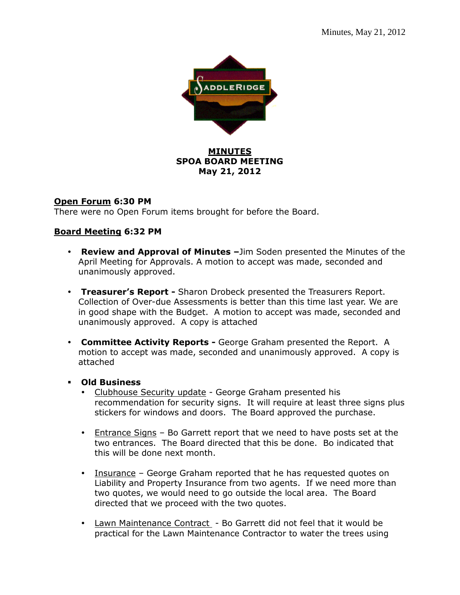

### **MINUTES SPOA BOARD MEETING May 21, 2012**

### **Open Forum 6:30 PM**

There were no Open Forum items brought for before the Board.

# **Board Meeting 6:32 PM**

- **Review and Approval of Minutes –**Jim Soden presented the Minutes of the April Meeting for Approvals. A motion to accept was made, seconded and unanimously approved.
- **Treasurer's Report** Sharon Drobeck presented the Treasurers Report. Collection of Over-due Assessments is better than this time last year. We are in good shape with the Budget. A motion to accept was made, seconded and unanimously approved. A copy is attached
- **Committee Activity Reports** George Graham presented the Report. A motion to accept was made, seconded and unanimously approved. A copy is attached
- **Old Business** 
	- Clubhouse Security update George Graham presented his recommendation for security signs. It will require at least three signs plus stickers for windows and doors. The Board approved the purchase.
	- Entrance Signs Bo Garrett report that we need to have posts set at the two entrances. The Board directed that this be done. Bo indicated that this will be done next month.
	- Insurance George Graham reported that he has requested quotes on Liability and Property Insurance from two agents. If we need more than two quotes, we would need to go outside the local area. The Board directed that we proceed with the two quotes.
	- Lawn Maintenance Contract Bo Garrett did not feel that it would be practical for the Lawn Maintenance Contractor to water the trees using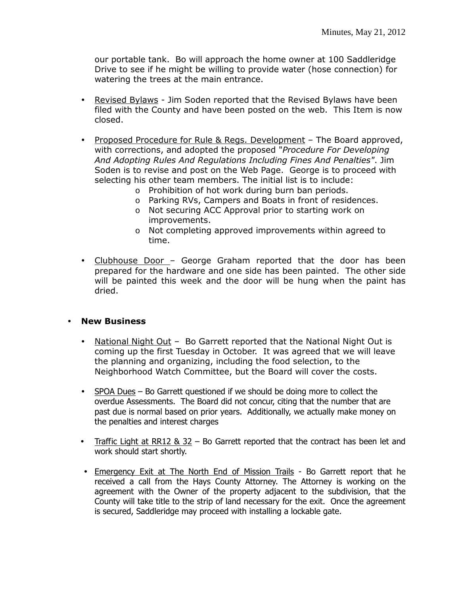our portable tank. Bo will approach the home owner at 100 Saddleridge Drive to see if he might be willing to provide water (hose connection) for watering the trees at the main entrance.

- Revised Bylaws Jim Soden reported that the Revised Bylaws have been filed with the County and have been posted on the web. This Item is now closed.
- Proposed Procedure for Rule & Regs. Development The Board approved, with corrections, and adopted the proposed "*Procedure For Developing And Adopting Rules And Regulations Including Fines And Penalties"*. Jim Soden is to revise and post on the Web Page. George is to proceed with selecting his other team members. The initial list is to include:
	- o Prohibition of hot work during burn ban periods.
	- o Parking RVs, Campers and Boats in front of residences.
	- o Not securing ACC Approval prior to starting work on improvements.
	- o Not completing approved improvements within agreed to time.
- Clubhouse Door George Graham reported that the door has been prepared for the hardware and one side has been painted. The other side will be painted this week and the door will be hung when the paint has dried.

#### **New Business**

- National Night Out Bo Garrett reported that the National Night Out is coming up the first Tuesday in October. It was agreed that we will leave the planning and organizing, including the food selection, to the Neighborhood Watch Committee, but the Board will cover the costs.
- SPOA Dues Bo Garrett questioned if we should be doing more to collect the overdue Assessments. The Board did not concur, citing that the number that are past due is normal based on prior years. Additionally, we actually make money on the penalties and interest charges
- Traffic Light at RR12  $\&$  32 Bo Garrett reported that the contract has been let and work should start shortly.
- Emergency Exit at The North End of Mission Trails Bo Garrett report that he received a call from the Hays County Attorney. The Attorney is working on the agreement with the Owner of the property adjacent to the subdivision, that the County will take title to the strip of land necessary for the exit. Once the agreement is secured, Saddleridge may proceed with installing a lockable gate.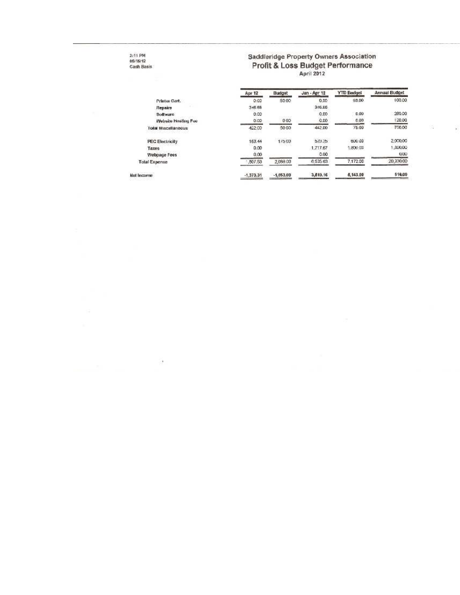# 3:11 PM<br>05/15/12<br>Cash Basis

J.

# Saddleridge Property Owners Association Profit & Loss Budget Performance

8

| Apr 12          | Budget                                       | Jan - Apr 12 | <b>YTD Badget</b> | Annual Budget |
|-----------------|----------------------------------------------|--------------|-------------------|---------------|
| 0.00            | 5000                                         | 0.00         | 50.00             | 100.00        |
| 346.68          |                                              | 316.66       |                   |               |
| 0.00            |                                              | 0.00         | 0.00.             | 280.00        |
| 0.00            | 000                                          | 0.00         | 0.00.             | 120.00        |
| 422.00          | 5000<br>-31165                               | 442.00       | 75.00             | 750.00        |
| -----<br>163.44 | <b>Substitution of the Control</b><br>175,00 | 523.25       | 600.00            | 2,000,00      |
| 0.00            |                                              | 1.717.67     | 1,800.00          | ,300.00       |
| 0,00            |                                              | 0.00         |                   | 0.00          |
| 807.53          | 2,088.00                                     | 6.535.63     | 7.172.00          | 20,330.00     |
| $-1,373,31$     | $-1,053,00$                                  | 3,510.16     | 5,143.00          | 510.00        |
|                 |                                              |              |                   |               |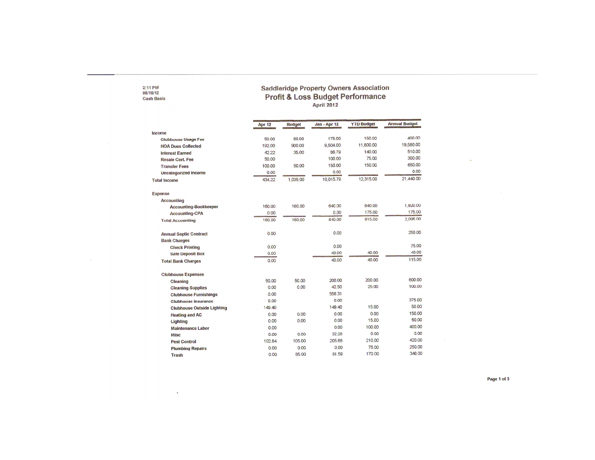# 2:11 PM<br>05/15/12<br>Cash Basis

 $\sim 80$ 

# Saddleridge Property Owners Association<br>Profit & Loss Budget Performance<br>April 2012

|                                   | Apr 12 | <b>Budget</b> | Jan - Apr 12 | <b>YTD Budget</b> | <b>Annual Budget</b> |
|-----------------------------------|--------|---------------|--------------|-------------------|----------------------|
| income                            |        |               |              |                   |                      |
| <b>Clubhouse Usage Fee</b>        | 50.00  | 50.00         | 175.00       | 150.00            | 400.00               |
| <b>HOA Dues Collected</b>         | 192.00 | 900.00        | 9,504.00     | 11,800.00         | 19,580.00            |
| <b>Interest Earned</b>            | 42.22  | 35.00         | 86.79        | 140.00            | 510.00               |
| <b>Resale Cert, Fee</b>           | 50.00  |               | 100.00       | 75.00             | 300.00               |
| <b>Transfer Fees</b>              | 100.00 | 50.00         | 150.00       | 150.00            | 650.00               |
| <b>Uncategorized Income</b>       | 0.00   |               | 0.00         |                   | 0.00                 |
| <b>Total Income</b>               | 434.22 | 1,035.00      | 10,015.79    | 12,315.00         | 21,440.00            |
| Expense                           |        |               |              |                   |                      |
| <b>Accounting</b>                 |        |               |              |                   |                      |
| <b>Accounting-Bookkeeper</b>      | 160.00 | 160.00        | 640.00       | 640.00            | 1,920.00             |
| <b>Accounting-CPA</b>             | 0.00   |               | 0.00         | 175.00            | 175.00               |
| <b>Total Accounting</b>           | 160.00 | 160.00        | 640.00       | 815.00            | 2,095.00             |
| <b>Annual Septic Contract</b>     | 0.00   |               | 0.00         |                   | 250.00               |
| <b>Bank Charges</b>               |        |               |              |                   |                      |
| <b>Check Printing</b>             | 0.00   |               | 0.00         |                   | 75.00                |
| <b>Safe Deposit Box</b>           | 0.00   |               | 40.00        | 40.00             | 40.00                |
| <b>Total Bank Charges</b>         | 0.00   |               | 40.00        | 40.00             | 115.00               |
| <b>Clubhouse Expenses</b>         |        |               |              |                   |                      |
| Cleaning                          | 50.00  | 50.00         | 200.00       | 200.00            | 600.00               |
| <b>Cleaning Supplies</b>          | 0.00   | 0.00          | 42.50        | 25.00             | 100.00               |
| <b>Clubhouse Furnishings</b>      | 0.00   |               | 558.31       |                   |                      |
| <b>Clubhouse insurance</b>        | 0.00   |               | 0.00         |                   | 375.00               |
| <b>Clubhouse Outside Lighting</b> | 149.40 |               | 149.40       | 15.00             | 50.00                |
| <b>Heating and AC</b>             | 0.00   | 0.00          | 0.00         | 0.00              | 150.00               |
| Lighting                          | 0.00   | 0.00          | 0.00         | 15.00             | 50.00                |
| <b>Maintenance Labor</b>          | 0.00   |               | 0.00         | 100.00            | 400.00               |
| <b>Misc</b>                       | 0.00   | 0.00          | 32.28        | 0.00              | 0.00                 |
| <b>Pest Control</b>               | 102.84 | 105.00        | 205.68       | 210.00            | 420.00               |
| <b>Plumbing Repairs</b>           | 0.00   | 0.00          | 0.00         | 75.00             | 250.00               |
| Trash                             | 0.00   | 85.00         | 81.59        | 170.00            | 340.00               |

Page 1 of 3

 $\sim$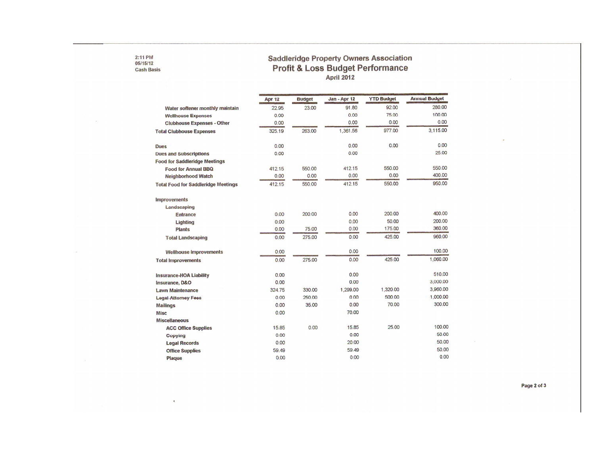#### 2:11 PM<br>05/15/12 **Cash Basis**

 $\langle \pmb{\epsilon} \rangle$ 

 $\sim 10^{-1}$ 

# Saddleridge Property Owners Association<br>Profit & Loss Budget Performance<br>April 2012

|                                            | Apr 12 | <b>Budget</b> | Jan - Apr 12 | <b>YTD Budget</b> | <b>Annual Budget</b> |
|--------------------------------------------|--------|---------------|--------------|-------------------|----------------------|
| Water softener monthly maintain            | 22.95  | 23.00         | 91.80        | 92.00             | 280.00               |
| <b>Wellhouse Expenses</b>                  | 0.00   |               | 0.00         | 75.00             | 100.00               |
| <b>Clubhouse Expenses - Other</b>          | 0.00   |               | 0.00         | 0.00              | 0.00                 |
| <b>Total Clubhouse Expenses</b>            | 325.19 | 263.00        | 1,361.56     | 977.00            | 3,115.00             |
| <b>Dues</b>                                | 0.00   |               | 0.00         | 0.00              | 0.00                 |
| <b>Dues and Subscriptions</b>              | 0.00   |               | 0.00         |                   | 25.00                |
| <b>Food for Saddleridge Meetings</b>       |        |               |              |                   |                      |
| <b>Food for Annual BBQ</b>                 | 412.15 | 550.00        | 412.15       | 550.00            | 550.00               |
| <b>Neighborhood Watch</b>                  | 0.00   | 0.00          | 0.00         | 0.00              | 400.00               |
| <b>Total Food for Saddleridge Meetings</b> | 412.15 | 550.00        | 412.15       | 550.00            | 950.00               |
| <b>Improvements</b>                        |        |               |              |                   |                      |
| Landscaping                                |        |               |              |                   |                      |
| <b>Entrance</b>                            | 0.00   | 200.00        | 0.00         | 200.00            | 400.00               |
| Lighting                                   | 0.00   |               | 0.00         | 50.00             | 200.00               |
| Plants                                     | 0.00   | 75.00         | 0.00         | 175.00            | 360.00               |
| <b>Total Landscaping</b>                   | 0.00   | 275.00        | 0.00         | 425.00            | 960.00               |
| <b>Wellhouse Improvements</b>              | 0.00   |               | 0.00         |                   | 100.00               |
| <b>Total Improvements</b>                  | 0.00   | 275.00        | 0.00         | 425.00            | 1,060.00             |
| <b>Insurance-HOA Liability</b>             | 0.00   |               | 0.00         |                   | 510.00               |
| Insurance, D&O                             | 0.00   |               | 0.00         |                   | 3,000.00             |
| <b>Lawn Maintenance</b>                    | 324.75 | 330.00        | 1.299.00     | 1,320.00          | 3,960.00             |
| <b>Legal-Attorney Fees</b>                 | 0.00   | 250.00        | 0.00         | 500.00            | 1,000.00             |
| <b>Mailings</b>                            | 0.00   | 35.00         | 0.00         | 70.00             | 300.00               |
| Misc                                       | 0.00   |               | 70.00        |                   |                      |
| <b>Miscellaneous</b>                       |        |               |              |                   |                      |
| <b>ACC Office Supplies</b>                 | 15.85  | 0.00          | 15.85        | 25.00             | 100.00               |
| Copying                                    | 0.00   |               | 0.00         |                   | 50.00                |
| <b>Legal Records</b>                       | 0.00   |               | 20.00        |                   | 50.00                |
| <b>Office Supplies</b>                     | 59.49  |               | 59.49        |                   | 50.00                |
| Plaque                                     | 0.00   |               | 0.00         |                   | 0.00                 |

Page 2 of 3

 $\chi$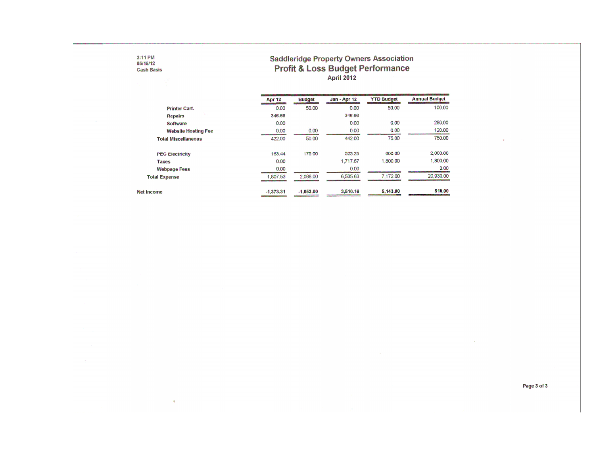# **Saddleridge Property Owners Association** Profit & Loss Budget Performance

|                            | Apr 12      | <b>Budget</b> | Jan - Apr 12 | <b>YTD Budget</b> | <b>Annual Budget</b> |
|----------------------------|-------------|---------------|--------------|-------------------|----------------------|
| <b>Printer Cart.</b>       | 0.00        | 50.00         | 0.00         | 50.00             | 100.00               |
| <b>Repairs</b>             | 346.66      |               | 346.66       |                   |                      |
| Software                   | 0.00        |               | 0.00         | 0.00              | 280.00               |
| <b>Website Hosting Fee</b> | 0.00        | 0.00          | 0.00         | 0.00              | 120.00               |
| <b>Total Miscellaneous</b> | 422.00      | 50.00         | 442.00       | 75.00             | 750.00               |
| <b>PEC Electricity</b>     | 163.44      | 175.00        | 523.25       | 600.00            | 2,000.00             |
| Taxes                      | 0.00        |               | 1.717.67     | 1,800.00          | 1,800.00             |
| <b>Webpage Fees</b>        | 0.00        |               | 0.00         |                   | 0.00                 |
| <b>Total Expense</b>       | 1.807.53    | 2.088.00      | 6,505.63     | 7.172.00          | 20,930.00            |
| Net Income                 | $-1,373,31$ | $-1,053,00$   | 3,510.16     | 5.143.00          | 510.00               |

 $2:11$  PM<br>05/15/12

 $\sim$ 

**Cash Basis** 

 $\Lambda$